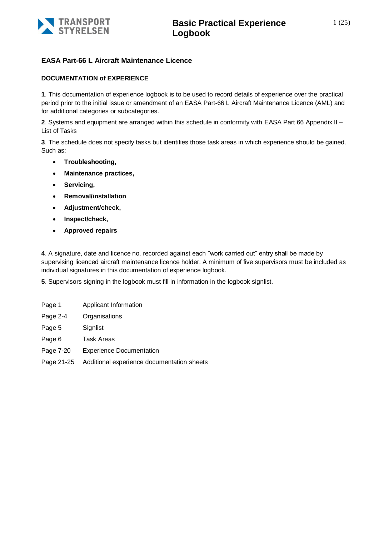

#### **EASA Part-66 L Aircraft Maintenance Licence**

#### **DOCUMENTATION of EXPERIENCE**

**1**. This documentation of experience logbook is to be used to record details of experience over the practical period prior to the initial issue or amendment of an EASA Part-66 L Aircraft Maintenance Licence (AML) and for additional categories or subcategories.

**2**. Systems and equipment are arranged within this schedule in conformity with EASA Part 66 Appendix II – List of Tasks

**3**. The schedule does not specify tasks but identifies those task areas in which experience should be gained. Such as:

- **Troubleshooting,**
- **Maintenance practices,**
- **Servicing,**
- **Removal/installation**
- **Adjustment/check,**
- **Inspect/check,**
- **Approved repairs**

**4**. A signature, date and licence no. recorded against each "work carried out" entry shall be made by supervising licenced aircraft maintenance licence holder. A minimum of five supervisors must be included as individual signatures in this documentation of experience logbook.

**5**. Supervisors signing in the logbook must fill in information in the logbook signlist.

| Page 1     | Applicant Information                      |
|------------|--------------------------------------------|
| Page 2-4   | Organisations                              |
| Page 5     | Signlist                                   |
| Page 6     | Task Areas                                 |
| Page 7-20  | <b>Experience Documentation</b>            |
| Page 21-25 | Additional experience documentation sheets |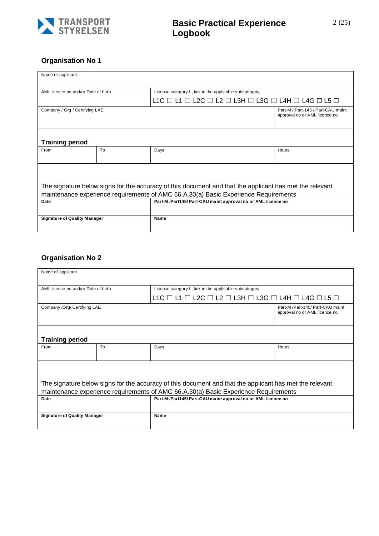

#### **Organisation No 1**

| Name of applicant                                                                                                                                                                              |    |                                                                                                 |                                                                     |  |  |  |
|------------------------------------------------------------------------------------------------------------------------------------------------------------------------------------------------|----|-------------------------------------------------------------------------------------------------|---------------------------------------------------------------------|--|--|--|
| AML licence no and/or Date of birth                                                                                                                                                            |    | License category L, tick in the applicable subcategory                                          |                                                                     |  |  |  |
|                                                                                                                                                                                                |    | L1C $\Box$ L1 $\Box$ L2C $\Box$ L2 $\Box$ L3H $\Box$ L3G $\Box$ L4H $\Box$ L4G $\Box$ L5 $\Box$ |                                                                     |  |  |  |
| Company / Org / Certifying LAE                                                                                                                                                                 |    |                                                                                                 | Part-M / Part-145 / Part-CAU maint<br>approval no or AML licence no |  |  |  |
| <b>Training period</b>                                                                                                                                                                         |    |                                                                                                 |                                                                     |  |  |  |
| From                                                                                                                                                                                           | To | Days                                                                                            | Hours                                                               |  |  |  |
| The signature below signs for the accuracy of this document and that the applicant has met the relevant<br>maintenance experience requirements of AMC 66.A.30(a) Basic Experience Requirements |    |                                                                                                 |                                                                     |  |  |  |
| Part-M /Part145/ Part-CAU maint approval no or AML licence no<br>Date                                                                                                                          |    |                                                                                                 |                                                                     |  |  |  |
| <b>Signature of Quality Manager</b><br>Name                                                                                                                                                    |    |                                                                                                 |                                                                     |  |  |  |

#### **Organisation No 2**

| Name of applicant                                                                                                                                                                              |    |                                                                                                 |                                                                   |  |
|------------------------------------------------------------------------------------------------------------------------------------------------------------------------------------------------|----|-------------------------------------------------------------------------------------------------|-------------------------------------------------------------------|--|
| AML licence no and/or Date of birth                                                                                                                                                            |    | License category L, tick in the applicable subcategory                                          |                                                                   |  |
|                                                                                                                                                                                                |    | L1C $\Box$ L1 $\Box$ L2C $\Box$ L2 $\Box$ L3H $\Box$ L3G $\Box$ L4H $\Box$ L4G $\Box$ L5 $\Box$ |                                                                   |  |
| Company /Org/ Certifying LAE                                                                                                                                                                   |    |                                                                                                 | Part-M /Part-145/ Part-CAU maint<br>approval no or AML licence no |  |
| <b>Training period</b>                                                                                                                                                                         |    |                                                                                                 |                                                                   |  |
| From                                                                                                                                                                                           | To | Days                                                                                            | Hours                                                             |  |
| The signature below signs for the accuracy of this document and that the applicant has met the relevant<br>maintenance experience requirements of AMC 66.A.30(a) Basic Experience Requirements |    |                                                                                                 |                                                                   |  |
| Date                                                                                                                                                                                           |    | Part-M /Part145/ Part-CAU maint approval no or AML licence no                                   |                                                                   |  |
| <b>Signature of Quality Manager</b>                                                                                                                                                            |    | Name                                                                                            |                                                                   |  |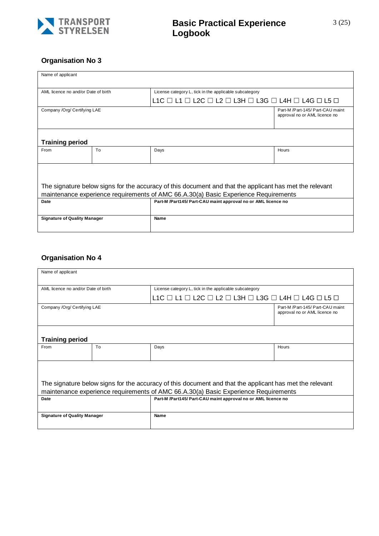

#### **Organisation No 3**

| Name of applicant                                                                                                                                                                              |    |                                                                                                 |                                                                   |  |  |
|------------------------------------------------------------------------------------------------------------------------------------------------------------------------------------------------|----|-------------------------------------------------------------------------------------------------|-------------------------------------------------------------------|--|--|
| AML licence no and/or Date of birth                                                                                                                                                            |    | License category L, tick in the applicable subcategory                                          |                                                                   |  |  |
|                                                                                                                                                                                                |    | L1C $\Box$ L1 $\Box$ L2C $\Box$ L2 $\Box$ L3H $\Box$ L3G $\Box$ L4H $\Box$ L4G $\Box$ L5 $\Box$ |                                                                   |  |  |
| Company /Org/ Certifying LAE                                                                                                                                                                   |    |                                                                                                 | Part-M /Part-145/ Part-CAU maint<br>approval no or AML licence no |  |  |
| <b>Training period</b>                                                                                                                                                                         |    |                                                                                                 |                                                                   |  |  |
| From                                                                                                                                                                                           | To | Days                                                                                            | Hours                                                             |  |  |
| The signature below signs for the accuracy of this document and that the applicant has met the relevant<br>maintenance experience requirements of AMC 66.A.30(a) Basic Experience Requirements |    |                                                                                                 |                                                                   |  |  |
| Date                                                                                                                                                                                           |    | Part-M /Part145/ Part-CAU maint approval no or AML licence no                                   |                                                                   |  |  |
| <b>Signature of Quality Manager</b>                                                                                                                                                            |    | Name                                                                                            |                                                                   |  |  |

#### **Organisation No 4**

| Name of applicant                                                                                                                                                                              |    |                                                                                                 |                                                                   |  |
|------------------------------------------------------------------------------------------------------------------------------------------------------------------------------------------------|----|-------------------------------------------------------------------------------------------------|-------------------------------------------------------------------|--|
| AML licence no and/or Date of birth                                                                                                                                                            |    | License category L, tick in the applicable subcategory                                          |                                                                   |  |
|                                                                                                                                                                                                |    | L1C $\Box$ L1 $\Box$ L2C $\Box$ L2 $\Box$ L3H $\Box$ L3G $\Box$ L4H $\Box$ L4G $\Box$ L5 $\Box$ |                                                                   |  |
| Company /Org/ Certifying LAE                                                                                                                                                                   |    |                                                                                                 | Part-M /Part-145/ Part-CAU maint<br>approval no or AML licence no |  |
| <b>Training period</b>                                                                                                                                                                         |    |                                                                                                 |                                                                   |  |
| From                                                                                                                                                                                           | To | Days                                                                                            | Hours                                                             |  |
| The signature below signs for the accuracy of this document and that the applicant has met the relevant<br>maintenance experience requirements of AMC 66.A.30(a) Basic Experience Requirements |    |                                                                                                 |                                                                   |  |
| Part-M /Part145/ Part-CAU maint approval no or AML licence no<br>Date                                                                                                                          |    |                                                                                                 |                                                                   |  |
| <b>Signature of Quality Manager</b>                                                                                                                                                            |    | Name                                                                                            |                                                                   |  |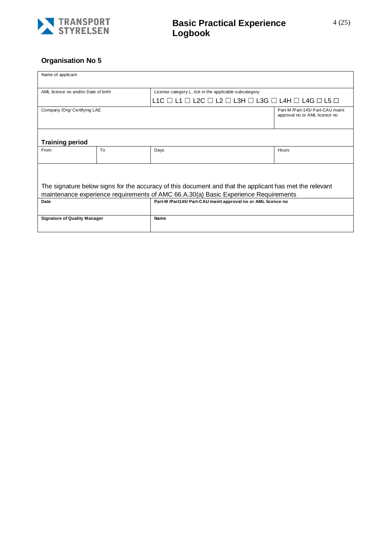

#### **Organisation No 5**

| Name of applicant                                                                                                                                                                              |                |                                                                                                 |                                                                   |  |  |
|------------------------------------------------------------------------------------------------------------------------------------------------------------------------------------------------|----------------|-------------------------------------------------------------------------------------------------|-------------------------------------------------------------------|--|--|
| AML licence no and/or Date of birth                                                                                                                                                            |                | License category L, tick in the applicable subcategory                                          |                                                                   |  |  |
|                                                                                                                                                                                                |                | L1C $\Box$ L1 $\Box$ L2C $\Box$ L2 $\Box$ L3H $\Box$ L3G $\Box$ L4H $\Box$ L4G $\Box$ L5 $\Box$ |                                                                   |  |  |
| Company /Org/ Certifying LAE                                                                                                                                                                   |                |                                                                                                 | Part-M /Part-145/ Part-CAU maint<br>approval no or AML licence no |  |  |
| <b>Training period</b>                                                                                                                                                                         |                |                                                                                                 |                                                                   |  |  |
| From                                                                                                                                                                                           | T <sub>o</sub> | Days                                                                                            | Hours                                                             |  |  |
| The signature below signs for the accuracy of this document and that the applicant has met the relevant<br>maintenance experience requirements of AMC 66.A.30(a) Basic Experience Requirements |                |                                                                                                 |                                                                   |  |  |
| Date                                                                                                                                                                                           |                | Part-M /Part145/ Part-CAU maint approval no or AML licence no                                   |                                                                   |  |  |
| <b>Signature of Quality Manager</b>                                                                                                                                                            |                | Name                                                                                            |                                                                   |  |  |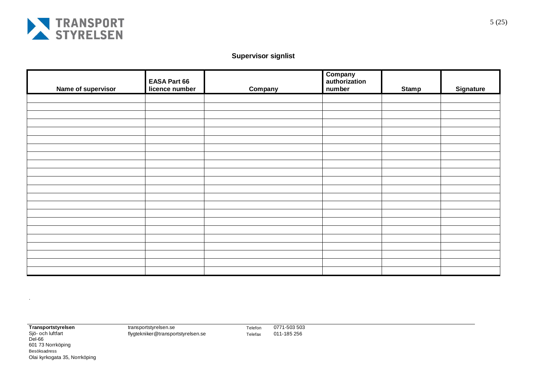

#### **Supervisor signlist**

| Name of supervisor | <b>EASA Part 66</b><br>licence number | Company | <b>Company</b><br>authorization<br>number | <b>Stamp</b> | <b>Signature</b> |
|--------------------|---------------------------------------|---------|-------------------------------------------|--------------|------------------|
|                    |                                       |         |                                           |              |                  |
|                    |                                       |         |                                           |              |                  |
|                    |                                       |         |                                           |              |                  |
|                    |                                       |         |                                           |              |                  |
|                    |                                       |         |                                           |              |                  |
|                    |                                       |         |                                           |              |                  |
|                    |                                       |         |                                           |              |                  |
|                    |                                       |         |                                           |              |                  |
|                    |                                       |         |                                           |              |                  |
|                    |                                       |         |                                           |              |                  |
|                    |                                       |         |                                           |              |                  |
|                    |                                       |         |                                           |              |                  |
|                    |                                       |         |                                           |              |                  |
|                    |                                       |         |                                           |              |                  |
|                    |                                       |         |                                           |              |                  |
|                    |                                       |         |                                           |              |                  |
|                    |                                       |         |                                           |              |                  |
|                    |                                       |         |                                           |              |                  |
|                    |                                       |         |                                           |              |                  |
|                    |                                       |         |                                           |              |                  |
|                    |                                       |         |                                           |              |                  |

.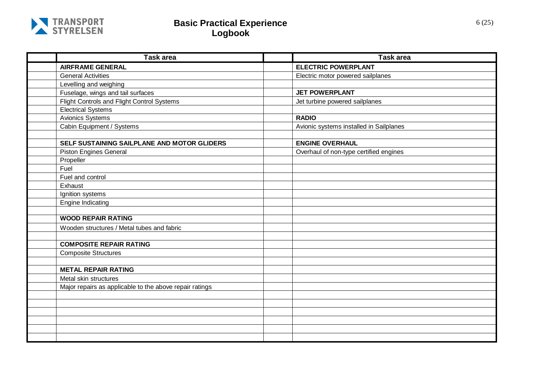

| <b>Task area</b>                                        | <b>Task area</b>                        |
|---------------------------------------------------------|-----------------------------------------|
| <b>AIRFRAME GENERAL</b>                                 | <b>ELECTRIC POWERPLANT</b>              |
| <b>General Activities</b>                               | Electric motor powered sailplanes       |
| Levelling and weighing                                  |                                         |
| Fuselage, wings and tail surfaces                       | <b>JET POWERPLANT</b>                   |
| Flight Controls and Flight Control Systems              | Jet turbine powered sailplanes          |
| <b>Electrical Systems</b>                               |                                         |
| <b>Avionics Systems</b>                                 | <b>RADIO</b>                            |
| Cabin Equipment / Systems                               | Avionic systems installed in Sailplanes |
|                                                         |                                         |
| SELF SUSTAINING SAILPLANE AND MOTOR GLIDERS             | <b>ENGINE OVERHAUL</b>                  |
| <b>Piston Engines General</b>                           | Overhaul of non-type certified engines  |
| Propeller                                               |                                         |
| Fuel                                                    |                                         |
| Fuel and control                                        |                                         |
| Exhaust                                                 |                                         |
| Ignition systems                                        |                                         |
| <b>Engine Indicating</b>                                |                                         |
|                                                         |                                         |
| <b>WOOD REPAIR RATING</b>                               |                                         |
| Wooden structures / Metal tubes and fabric              |                                         |
|                                                         |                                         |
| <b>COMPOSITE REPAIR RATING</b>                          |                                         |
| <b>Composite Structures</b>                             |                                         |
|                                                         |                                         |
| <b>METAL REPAIR RATING</b>                              |                                         |
| Metal skin structures                                   |                                         |
| Major repairs as applicable to the above repair ratings |                                         |
|                                                         |                                         |
|                                                         |                                         |
|                                                         |                                         |
|                                                         |                                         |
|                                                         |                                         |
|                                                         |                                         |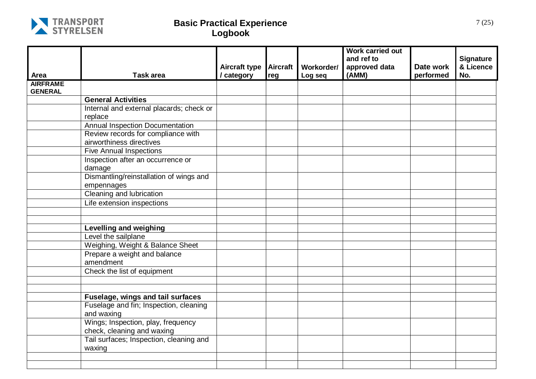

|                         |                                                                  | <b>Aircraft type</b> | <b>Aircraft</b> | Workorder/ | <b>Work carried out</b><br>and ref to<br>approved data | Date work | <b>Signature</b><br>& Licence<br>No. |
|-------------------------|------------------------------------------------------------------|----------------------|-----------------|------------|--------------------------------------------------------|-----------|--------------------------------------|
| Area<br><b>AIRFRAME</b> | <b>Task area</b>                                                 | / category           | reg             | Log seq    | (AMM)                                                  | performed |                                      |
| <b>GENERAL</b>          |                                                                  |                      |                 |            |                                                        |           |                                      |
|                         | <b>General Activities</b>                                        |                      |                 |            |                                                        |           |                                      |
|                         | Internal and external placards; check or<br>replace              |                      |                 |            |                                                        |           |                                      |
|                         | <b>Annual Inspection Documentation</b>                           |                      |                 |            |                                                        |           |                                      |
|                         | Review records for compliance with<br>airworthiness directives   |                      |                 |            |                                                        |           |                                      |
|                         | <b>Five Annual Inspections</b>                                   |                      |                 |            |                                                        |           |                                      |
|                         | Inspection after an occurrence or<br>damage                      |                      |                 |            |                                                        |           |                                      |
|                         | Dismantling/reinstallation of wings and<br>empennages            |                      |                 |            |                                                        |           |                                      |
|                         | Cleaning and lubrication                                         |                      |                 |            |                                                        |           |                                      |
|                         | Life extension inspections                                       |                      |                 |            |                                                        |           |                                      |
|                         |                                                                  |                      |                 |            |                                                        |           |                                      |
|                         |                                                                  |                      |                 |            |                                                        |           |                                      |
|                         | <b>Levelling and weighing</b>                                    |                      |                 |            |                                                        |           |                                      |
|                         | Level the sailplane                                              |                      |                 |            |                                                        |           |                                      |
|                         | Weighing, Weight & Balance Sheet                                 |                      |                 |            |                                                        |           |                                      |
|                         | Prepare a weight and balance<br>amendment                        |                      |                 |            |                                                        |           |                                      |
|                         | Check the list of equipment                                      |                      |                 |            |                                                        |           |                                      |
|                         |                                                                  |                      |                 |            |                                                        |           |                                      |
|                         |                                                                  |                      |                 |            |                                                        |           |                                      |
|                         | Fuselage, wings and tail surfaces                                |                      |                 |            |                                                        |           |                                      |
|                         | Fuselage and fin; Inspection, cleaning<br>and waxing             |                      |                 |            |                                                        |           |                                      |
|                         | Wings; Inspection, play, frequency<br>check, cleaning and waxing |                      |                 |            |                                                        |           |                                      |
|                         | Tail surfaces; Inspection, cleaning and<br>waxing                |                      |                 |            |                                                        |           |                                      |
|                         |                                                                  |                      |                 |            |                                                        |           |                                      |
|                         |                                                                  |                      |                 |            |                                                        |           |                                      |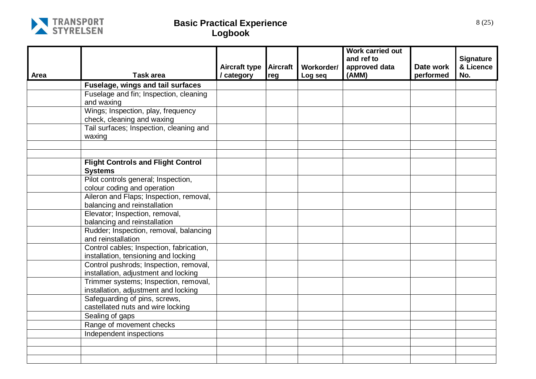

| Area | <b>Task area</b>                                                                 | <b>Aircraft type</b><br>/ category | <b>Aircraft</b><br>reg | Workorder/<br>Log seq | <b>Work carried out</b><br>and ref to<br>approved data<br>(AMM) | Date work<br>performed | <b>Signature</b><br>& Licence<br>No. |
|------|----------------------------------------------------------------------------------|------------------------------------|------------------------|-----------------------|-----------------------------------------------------------------|------------------------|--------------------------------------|
|      | Fuselage, wings and tail surfaces                                                |                                    |                        |                       |                                                                 |                        |                                      |
|      | Fuselage and fin; Inspection, cleaning<br>and waxing                             |                                    |                        |                       |                                                                 |                        |                                      |
|      | Wings; Inspection, play, frequency<br>check, cleaning and waxing                 |                                    |                        |                       |                                                                 |                        |                                      |
|      | Tail surfaces; Inspection, cleaning and<br>waxing                                |                                    |                        |                       |                                                                 |                        |                                      |
|      |                                                                                  |                                    |                        |                       |                                                                 |                        |                                      |
|      | <b>Flight Controls and Flight Control</b><br><b>Systems</b>                      |                                    |                        |                       |                                                                 |                        |                                      |
|      | Pilot controls general; Inspection,<br>colour coding and operation               |                                    |                        |                       |                                                                 |                        |                                      |
|      | Aileron and Flaps; Inspection, removal,<br>balancing and reinstallation          |                                    |                        |                       |                                                                 |                        |                                      |
|      | Elevator; Inspection, removal,<br>balancing and reinstallation                   |                                    |                        |                       |                                                                 |                        |                                      |
|      | Rudder; Inspection, removal, balancing<br>and reinstallation                     |                                    |                        |                       |                                                                 |                        |                                      |
|      | Control cables; Inspection, fabrication,<br>installation, tensioning and locking |                                    |                        |                       |                                                                 |                        |                                      |
|      | Control pushrods; Inspection, removal,<br>installation, adjustment and locking   |                                    |                        |                       |                                                                 |                        |                                      |
|      | Trimmer systems; Inspection, removal,<br>installation, adjustment and locking    |                                    |                        |                       |                                                                 |                        |                                      |
|      | Safeguarding of pins, screws,<br>castellated nuts and wire locking               |                                    |                        |                       |                                                                 |                        |                                      |
|      | Sealing of gaps                                                                  |                                    |                        |                       |                                                                 |                        |                                      |
|      | Range of movement checks                                                         |                                    |                        |                       |                                                                 |                        |                                      |
|      | Independent inspections                                                          |                                    |                        |                       |                                                                 |                        |                                      |
|      |                                                                                  |                                    |                        |                       |                                                                 |                        |                                      |
|      |                                                                                  |                                    |                        |                       |                                                                 |                        |                                      |
|      |                                                                                  |                                    |                        |                       |                                                                 |                        |                                      |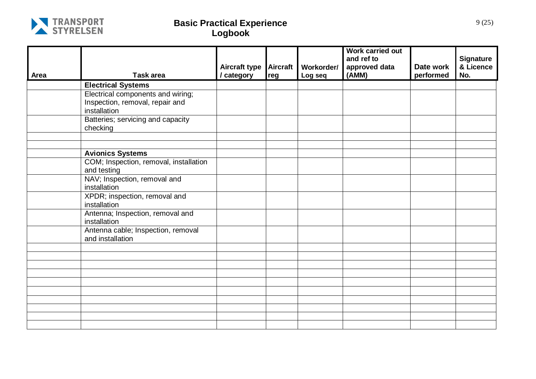

|      |                                                        | <b>Aircraft type</b> | <b>Aircraft</b> | Workorder/ | <b>Work carried out</b><br>and ref to<br>approved data | Date work | <b>Signature</b><br>& Licence |
|------|--------------------------------------------------------|----------------------|-----------------|------------|--------------------------------------------------------|-----------|-------------------------------|
| Area | <b>Task area</b>                                       | / category           | reg             | Log seq    | (AMM)                                                  | performed | No.                           |
|      | <b>Electrical Systems</b>                              |                      |                 |            |                                                        |           |                               |
|      | Electrical components and wiring;                      |                      |                 |            |                                                        |           |                               |
|      | Inspection, removal, repair and                        |                      |                 |            |                                                        |           |                               |
|      | installation                                           |                      |                 |            |                                                        |           |                               |
|      | Batteries; servicing and capacity                      |                      |                 |            |                                                        |           |                               |
|      | checking                                               |                      |                 |            |                                                        |           |                               |
|      |                                                        |                      |                 |            |                                                        |           |                               |
|      |                                                        |                      |                 |            |                                                        |           |                               |
|      | <b>Avionics Systems</b>                                |                      |                 |            |                                                        |           |                               |
|      | COM; Inspection, removal, installation<br>and testing  |                      |                 |            |                                                        |           |                               |
|      | NAV; Inspection, removal and<br>installation           |                      |                 |            |                                                        |           |                               |
|      | XPDR; inspection, removal and<br>installation          |                      |                 |            |                                                        |           |                               |
|      | Antenna; Inspection, removal and<br>installation       |                      |                 |            |                                                        |           |                               |
|      | Antenna cable; Inspection, removal<br>and installation |                      |                 |            |                                                        |           |                               |
|      |                                                        |                      |                 |            |                                                        |           |                               |
|      |                                                        |                      |                 |            |                                                        |           |                               |
|      |                                                        |                      |                 |            |                                                        |           |                               |
|      |                                                        |                      |                 |            |                                                        |           |                               |
|      |                                                        |                      |                 |            |                                                        |           |                               |
|      |                                                        |                      |                 |            |                                                        |           |                               |
|      |                                                        |                      |                 |            |                                                        |           |                               |
|      |                                                        |                      |                 |            |                                                        |           |                               |
|      |                                                        |                      |                 |            |                                                        |           |                               |
|      |                                                        |                      |                 |            |                                                        |           |                               |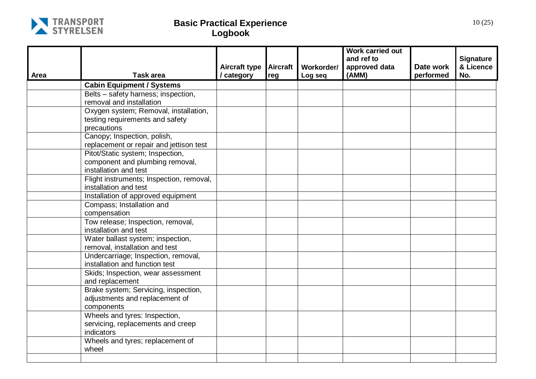

| Area | <b>Task area</b>                                  | <b>Aircraft type</b><br>/ category | <b>Aircraft</b><br>reg | Workorder/<br>Log seq | <b>Work carried out</b><br>and ref to<br>approved data<br>(AMM) | Date work<br>performed | <b>Signature</b><br>& Licence<br>No. |
|------|---------------------------------------------------|------------------------------------|------------------------|-----------------------|-----------------------------------------------------------------|------------------------|--------------------------------------|
|      | <b>Cabin Equipment / Systems</b>                  |                                    |                        |                       |                                                                 |                        |                                      |
|      | Belts - safety harness; inspection,               |                                    |                        |                       |                                                                 |                        |                                      |
|      | removal and installation                          |                                    |                        |                       |                                                                 |                        |                                      |
|      | Oxygen system; Removal, installation,             |                                    |                        |                       |                                                                 |                        |                                      |
|      | testing requirements and safety                   |                                    |                        |                       |                                                                 |                        |                                      |
|      | precautions                                       |                                    |                        |                       |                                                                 |                        |                                      |
|      | Canopy; Inspection, polish,                       |                                    |                        |                       |                                                                 |                        |                                      |
|      | replacement or repair and jettison test           |                                    |                        |                       |                                                                 |                        |                                      |
|      | Pitot/Static system; Inspection,                  |                                    |                        |                       |                                                                 |                        |                                      |
|      | component and plumbing removal,                   |                                    |                        |                       |                                                                 |                        |                                      |
|      | installation and test                             |                                    |                        |                       |                                                                 |                        |                                      |
|      | Flight instruments; Inspection, removal,          |                                    |                        |                       |                                                                 |                        |                                      |
|      | installation and test                             |                                    |                        |                       |                                                                 |                        |                                      |
|      | Installation of approved equipment                |                                    |                        |                       |                                                                 |                        |                                      |
|      | Compass; Installation and                         |                                    |                        |                       |                                                                 |                        |                                      |
|      | compensation<br>Tow release; Inspection, removal, |                                    |                        |                       |                                                                 |                        |                                      |
|      | installation and test                             |                                    |                        |                       |                                                                 |                        |                                      |
|      | Water ballast system; inspection,                 |                                    |                        |                       |                                                                 |                        |                                      |
|      | removal, installation and test                    |                                    |                        |                       |                                                                 |                        |                                      |
|      | Undercarriage; Inspection, removal,               |                                    |                        |                       |                                                                 |                        |                                      |
|      | installation and function test                    |                                    |                        |                       |                                                                 |                        |                                      |
|      | Skids; Inspection, wear assessment                |                                    |                        |                       |                                                                 |                        |                                      |
|      | and replacement                                   |                                    |                        |                       |                                                                 |                        |                                      |
|      | Brake system; Servicing, inspection,              |                                    |                        |                       |                                                                 |                        |                                      |
|      | adjustments and replacement of                    |                                    |                        |                       |                                                                 |                        |                                      |
|      | components                                        |                                    |                        |                       |                                                                 |                        |                                      |
|      | Wheels and tyres: Inspection,                     |                                    |                        |                       |                                                                 |                        |                                      |
|      | servicing, replacements and creep                 |                                    |                        |                       |                                                                 |                        |                                      |
|      | indicators                                        |                                    |                        |                       |                                                                 |                        |                                      |
|      | Wheels and tyres; replacement of                  |                                    |                        |                       |                                                                 |                        |                                      |
|      | wheel                                             |                                    |                        |                       |                                                                 |                        |                                      |
|      |                                                   |                                    |                        |                       |                                                                 |                        |                                      |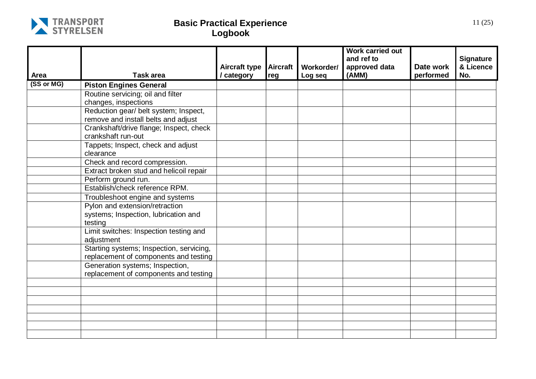

|            |                                                      |                                    |                 |                       | <b>Work carried out</b><br>and ref to |                        | <b>Signature</b> |
|------------|------------------------------------------------------|------------------------------------|-----------------|-----------------------|---------------------------------------|------------------------|------------------|
| Area       | Task area                                            | <b>Aircraft type</b><br>/ category | Aircraft<br>reg | Workorder/<br>Log seq | approved data<br>(AMM)                | Date work<br>performed | & Licence<br>No. |
| (SS or MG) | <b>Piston Engines General</b>                        |                                    |                 |                       |                                       |                        |                  |
|            | Routine servicing; oil and filter                    |                                    |                 |                       |                                       |                        |                  |
|            | changes, inspections                                 |                                    |                 |                       |                                       |                        |                  |
|            | Reduction gear/ belt system; Inspect,                |                                    |                 |                       |                                       |                        |                  |
|            | remove and install belts and adjust                  |                                    |                 |                       |                                       |                        |                  |
|            | Crankshaft/drive flange; Inspect, check              |                                    |                 |                       |                                       |                        |                  |
|            | crankshaft run-out                                   |                                    |                 |                       |                                       |                        |                  |
|            | Tappets; Inspect, check and adjust<br>clearance      |                                    |                 |                       |                                       |                        |                  |
|            | Check and record compression.                        |                                    |                 |                       |                                       |                        |                  |
|            | Extract broken stud and helicoil repair              |                                    |                 |                       |                                       |                        |                  |
|            | Perform ground run.                                  |                                    |                 |                       |                                       |                        |                  |
|            | Establish/check reference RPM.                       |                                    |                 |                       |                                       |                        |                  |
|            | Troubleshoot engine and systems                      |                                    |                 |                       |                                       |                        |                  |
|            | Pylon and extension/retraction                       |                                    |                 |                       |                                       |                        |                  |
|            | systems; Inspection, lubrication and                 |                                    |                 |                       |                                       |                        |                  |
|            | testing                                              |                                    |                 |                       |                                       |                        |                  |
|            | Limit switches: Inspection testing and<br>adjustment |                                    |                 |                       |                                       |                        |                  |
|            | Starting systems; Inspection, servicing,             |                                    |                 |                       |                                       |                        |                  |
|            | replacement of components and testing                |                                    |                 |                       |                                       |                        |                  |
|            | Generation systems; Inspection,                      |                                    |                 |                       |                                       |                        |                  |
|            | replacement of components and testing                |                                    |                 |                       |                                       |                        |                  |
|            |                                                      |                                    |                 |                       |                                       |                        |                  |
|            |                                                      |                                    |                 |                       |                                       |                        |                  |
|            |                                                      |                                    |                 |                       |                                       |                        |                  |
|            |                                                      |                                    |                 |                       |                                       |                        |                  |
|            |                                                      |                                    |                 |                       |                                       |                        |                  |
|            |                                                      |                                    |                 |                       |                                       |                        |                  |
|            |                                                      |                                    |                 |                       |                                       |                        |                  |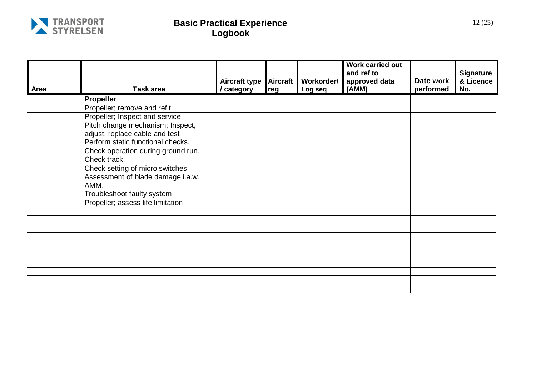

|      |                                    | <b>Aircraft type</b> | <b>Aircraft</b> | Workorder/ | <b>Work carried out</b><br>and ref to<br>approved data | Date work | <b>Signature</b><br>& Licence |
|------|------------------------------------|----------------------|-----------------|------------|--------------------------------------------------------|-----------|-------------------------------|
| Area | <b>Task area</b>                   | / category           | reg             | Log seq    | (AMM)                                                  | performed | No.                           |
|      | <b>Propeller</b>                   |                      |                 |            |                                                        |           |                               |
|      | Propeller; remove and refit        |                      |                 |            |                                                        |           |                               |
|      | Propeller; Inspect and service     |                      |                 |            |                                                        |           |                               |
|      | Pitch change mechanism; Inspect,   |                      |                 |            |                                                        |           |                               |
|      | adjust, replace cable and test     |                      |                 |            |                                                        |           |                               |
|      | Perform static functional checks.  |                      |                 |            |                                                        |           |                               |
|      | Check operation during ground run. |                      |                 |            |                                                        |           |                               |
|      | Check track.                       |                      |                 |            |                                                        |           |                               |
|      | Check setting of micro switches    |                      |                 |            |                                                        |           |                               |
|      | Assessment of blade damage i.a.w.  |                      |                 |            |                                                        |           |                               |
|      | AMM.                               |                      |                 |            |                                                        |           |                               |
|      | Troubleshoot faulty system         |                      |                 |            |                                                        |           |                               |
|      | Propeller; assess life limitation  |                      |                 |            |                                                        |           |                               |
|      |                                    |                      |                 |            |                                                        |           |                               |
|      |                                    |                      |                 |            |                                                        |           |                               |
|      |                                    |                      |                 |            |                                                        |           |                               |
|      |                                    |                      |                 |            |                                                        |           |                               |
|      |                                    |                      |                 |            |                                                        |           |                               |
|      |                                    |                      |                 |            |                                                        |           |                               |
|      |                                    |                      |                 |            |                                                        |           |                               |
|      |                                    |                      |                 |            |                                                        |           |                               |
|      |                                    |                      |                 |            |                                                        |           |                               |
|      |                                    |                      |                 |            |                                                        |           |                               |
|      |                                    |                      |                 |            |                                                        |           |                               |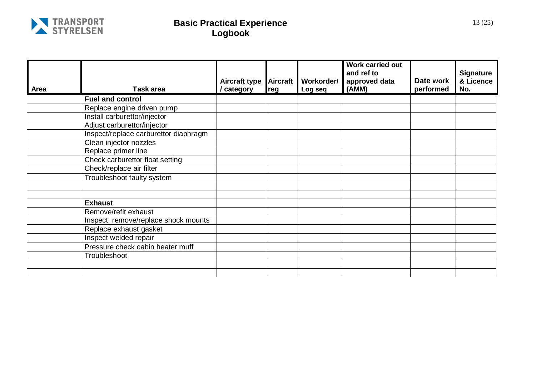

| <b>Area</b> | Task area                             | <b>Aircraft type</b><br>/ category | <b>Aircraft</b><br>reg | Workorder/<br>Log seq | <b>Work carried out</b><br>and ref to<br>approved data<br>(AMM) | Date work<br>performed | <b>Signature</b><br>& Licence<br>No. |
|-------------|---------------------------------------|------------------------------------|------------------------|-----------------------|-----------------------------------------------------------------|------------------------|--------------------------------------|
|             | <b>Fuel and control</b>               |                                    |                        |                       |                                                                 |                        |                                      |
|             | Replace engine driven pump            |                                    |                        |                       |                                                                 |                        |                                      |
|             | Install carburettor/injector          |                                    |                        |                       |                                                                 |                        |                                      |
|             | Adjust carburettor/injector           |                                    |                        |                       |                                                                 |                        |                                      |
|             | Inspect/replace carburettor diaphragm |                                    |                        |                       |                                                                 |                        |                                      |
|             | Clean injector nozzles                |                                    |                        |                       |                                                                 |                        |                                      |
|             | Replace primer line                   |                                    |                        |                       |                                                                 |                        |                                      |
|             | Check carburettor float setting       |                                    |                        |                       |                                                                 |                        |                                      |
|             | Check/replace air filter              |                                    |                        |                       |                                                                 |                        |                                      |
|             | Troubleshoot faulty system            |                                    |                        |                       |                                                                 |                        |                                      |
|             |                                       |                                    |                        |                       |                                                                 |                        |                                      |
|             |                                       |                                    |                        |                       |                                                                 |                        |                                      |
|             | <b>Exhaust</b>                        |                                    |                        |                       |                                                                 |                        |                                      |
|             | Remove/refit exhaust                  |                                    |                        |                       |                                                                 |                        |                                      |
|             | Inspect, remove/replace shock mounts  |                                    |                        |                       |                                                                 |                        |                                      |
|             | Replace exhaust gasket                |                                    |                        |                       |                                                                 |                        |                                      |
|             | Inspect welded repair                 |                                    |                        |                       |                                                                 |                        |                                      |
|             | Pressure check cabin heater muff      |                                    |                        |                       |                                                                 |                        |                                      |
|             | Troubleshoot                          |                                    |                        |                       |                                                                 |                        |                                      |
|             |                                       |                                    |                        |                       |                                                                 |                        |                                      |
|             |                                       |                                    |                        |                       |                                                                 |                        |                                      |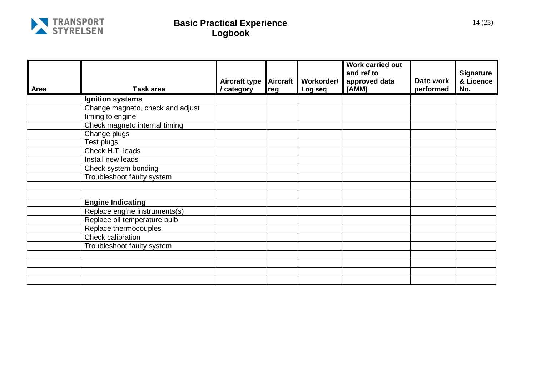

| Area | <b>Task area</b>                 | Aircraft type<br>/ category | <b>Aircraft</b><br>reg | Workorder/<br>Log seq | Work carried out<br>and ref to<br>approved data<br>(AMM) | Date work<br>performed | <b>Signature</b><br>& Licence<br>No. |
|------|----------------------------------|-----------------------------|------------------------|-----------------------|----------------------------------------------------------|------------------------|--------------------------------------|
|      | <b>Ignition systems</b>          |                             |                        |                       |                                                          |                        |                                      |
|      | Change magneto, check and adjust |                             |                        |                       |                                                          |                        |                                      |
|      | timing to engine                 |                             |                        |                       |                                                          |                        |                                      |
|      | Check magneto internal timing    |                             |                        |                       |                                                          |                        |                                      |
|      | Change plugs                     |                             |                        |                       |                                                          |                        |                                      |
|      | Test plugs                       |                             |                        |                       |                                                          |                        |                                      |
|      | Check H.T. leads                 |                             |                        |                       |                                                          |                        |                                      |
|      | Install new leads                |                             |                        |                       |                                                          |                        |                                      |
|      | Check system bonding             |                             |                        |                       |                                                          |                        |                                      |
|      | Troubleshoot faulty system       |                             |                        |                       |                                                          |                        |                                      |
|      |                                  |                             |                        |                       |                                                          |                        |                                      |
|      |                                  |                             |                        |                       |                                                          |                        |                                      |
|      | <b>Engine Indicating</b>         |                             |                        |                       |                                                          |                        |                                      |
|      | Replace engine instruments(s)    |                             |                        |                       |                                                          |                        |                                      |
|      | Replace oil temperature bulb     |                             |                        |                       |                                                          |                        |                                      |
|      | Replace thermocouples            |                             |                        |                       |                                                          |                        |                                      |
|      | Check calibration                |                             |                        |                       |                                                          |                        |                                      |
|      | Troubleshoot faulty system       |                             |                        |                       |                                                          |                        |                                      |
|      |                                  |                             |                        |                       |                                                          |                        |                                      |
|      |                                  |                             |                        |                       |                                                          |                        |                                      |
|      |                                  |                             |                        |                       |                                                          |                        |                                      |
|      |                                  |                             |                        |                       |                                                          |                        |                                      |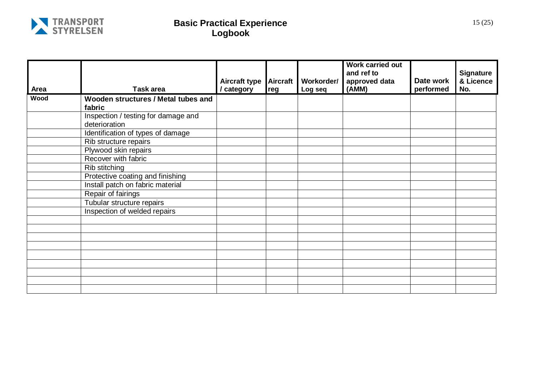

|      |                                     |               |                 |            | <b>Work carried out</b><br>and ref to |           | <b>Signature</b> |
|------|-------------------------------------|---------------|-----------------|------------|---------------------------------------|-----------|------------------|
|      |                                     | Aircraft type | <b>Aircraft</b> | Workorder/ | approved data                         | Date work | & Licence        |
| Area | <b>Task area</b>                    | / category    | reg             | Log seq    | (AMM)                                 | performed | No.              |
| Wood | Wooden structures / Metal tubes and |               |                 |            |                                       |           |                  |
|      | fabric                              |               |                 |            |                                       |           |                  |
|      | Inspection / testing for damage and |               |                 |            |                                       |           |                  |
|      | deterioration                       |               |                 |            |                                       |           |                  |
|      | Identification of types of damage   |               |                 |            |                                       |           |                  |
|      | Rib structure repairs               |               |                 |            |                                       |           |                  |
|      | Plywood skin repairs                |               |                 |            |                                       |           |                  |
|      | Recover with fabric                 |               |                 |            |                                       |           |                  |
|      | Rib stitching                       |               |                 |            |                                       |           |                  |
|      | Protective coating and finishing    |               |                 |            |                                       |           |                  |
|      | Install patch on fabric material    |               |                 |            |                                       |           |                  |
|      | Repair of fairings                  |               |                 |            |                                       |           |                  |
|      | Tubular structure repairs           |               |                 |            |                                       |           |                  |
|      | Inspection of welded repairs        |               |                 |            |                                       |           |                  |
|      |                                     |               |                 |            |                                       |           |                  |
|      |                                     |               |                 |            |                                       |           |                  |
|      |                                     |               |                 |            |                                       |           |                  |
|      |                                     |               |                 |            |                                       |           |                  |
|      |                                     |               |                 |            |                                       |           |                  |
|      |                                     |               |                 |            |                                       |           |                  |
|      |                                     |               |                 |            |                                       |           |                  |
|      |                                     |               |                 |            |                                       |           |                  |
|      |                                     |               |                 |            |                                       |           |                  |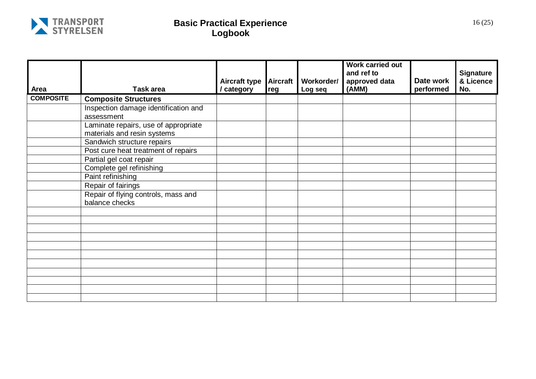

| Area             | <b>Task area</b>                                                    | <b>Aircraft type</b><br>/ category | <b>Aircraft</b><br>reg | Workorder/<br>Log seq | <b>Work carried out</b><br>and ref to<br>approved data<br>(AMM) | Date work<br>performed | <b>Signature</b><br>& Licence<br>No. |
|------------------|---------------------------------------------------------------------|------------------------------------|------------------------|-----------------------|-----------------------------------------------------------------|------------------------|--------------------------------------|
| <b>COMPOSITE</b> | <b>Composite Structures</b>                                         |                                    |                        |                       |                                                                 |                        |                                      |
|                  | Inspection damage identification and<br>assessment                  |                                    |                        |                       |                                                                 |                        |                                      |
|                  | Laminate repairs, use of appropriate<br>materials and resin systems |                                    |                        |                       |                                                                 |                        |                                      |
|                  | Sandwich structure repairs                                          |                                    |                        |                       |                                                                 |                        |                                      |
|                  | Post cure heat treatment of repairs<br>Partial gel coat repair      |                                    |                        |                       |                                                                 |                        |                                      |
|                  | Complete gel refinishing                                            |                                    |                        |                       |                                                                 |                        |                                      |
|                  | Paint refinishing                                                   |                                    |                        |                       |                                                                 |                        |                                      |
|                  | Repair of fairings                                                  |                                    |                        |                       |                                                                 |                        |                                      |
|                  | Repair of flying controls, mass and<br>balance checks               |                                    |                        |                       |                                                                 |                        |                                      |
|                  |                                                                     |                                    |                        |                       |                                                                 |                        |                                      |
|                  |                                                                     |                                    |                        |                       |                                                                 |                        |                                      |
|                  |                                                                     |                                    |                        |                       |                                                                 |                        |                                      |
|                  |                                                                     |                                    |                        |                       |                                                                 |                        |                                      |
|                  |                                                                     |                                    |                        |                       |                                                                 |                        |                                      |
|                  |                                                                     |                                    |                        |                       |                                                                 |                        |                                      |
|                  |                                                                     |                                    |                        |                       |                                                                 |                        |                                      |
|                  |                                                                     |                                    |                        |                       |                                                                 |                        |                                      |
|                  |                                                                     |                                    |                        |                       |                                                                 |                        |                                      |
|                  |                                                                     |                                    |                        |                       |                                                                 |                        |                                      |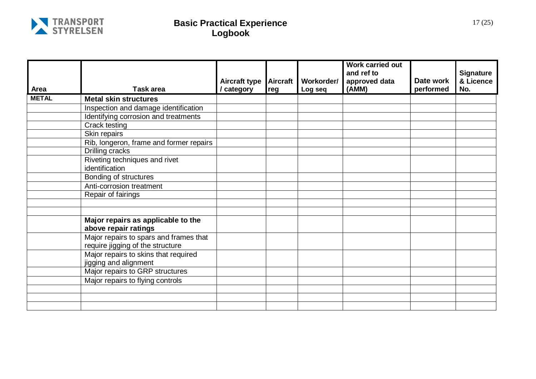

|              |                                                                            |                                  |                        |                       | <b>Work carried out</b><br>and ref to |                        | <b>Signature</b> |
|--------------|----------------------------------------------------------------------------|----------------------------------|------------------------|-----------------------|---------------------------------------|------------------------|------------------|
| Area         | <b>Task area</b>                                                           | <b>Aircraft type</b><br>category | <b>Aircraft</b><br>reg | Workorder/<br>Log seq | approved data<br>(AMM)                | Date work<br>performed | & Licence<br>No. |
| <b>METAL</b> | <b>Metal skin structures</b>                                               |                                  |                        |                       |                                       |                        |                  |
|              | Inspection and damage identification                                       |                                  |                        |                       |                                       |                        |                  |
|              | Identifying corrosion and treatments                                       |                                  |                        |                       |                                       |                        |                  |
|              | Crack testing                                                              |                                  |                        |                       |                                       |                        |                  |
|              | Skin repairs                                                               |                                  |                        |                       |                                       |                        |                  |
|              | Rib, longeron, frame and former repairs                                    |                                  |                        |                       |                                       |                        |                  |
|              | Drilling cracks                                                            |                                  |                        |                       |                                       |                        |                  |
|              | Riveting techniques and rivet                                              |                                  |                        |                       |                                       |                        |                  |
|              | identification                                                             |                                  |                        |                       |                                       |                        |                  |
|              | Bonding of structures                                                      |                                  |                        |                       |                                       |                        |                  |
|              | Anti-corrosion treatment                                                   |                                  |                        |                       |                                       |                        |                  |
|              | Repair of fairings                                                         |                                  |                        |                       |                                       |                        |                  |
|              |                                                                            |                                  |                        |                       |                                       |                        |                  |
|              |                                                                            |                                  |                        |                       |                                       |                        |                  |
|              | Major repairs as applicable to the<br>above repair ratings                 |                                  |                        |                       |                                       |                        |                  |
|              | Major repairs to spars and frames that<br>require jigging of the structure |                                  |                        |                       |                                       |                        |                  |
|              | Major repairs to skins that required<br>jigging and alignment              |                                  |                        |                       |                                       |                        |                  |
|              | Major repairs to GRP structures                                            |                                  |                        |                       |                                       |                        |                  |
|              | Major repairs to flying controls                                           |                                  |                        |                       |                                       |                        |                  |
|              |                                                                            |                                  |                        |                       |                                       |                        |                  |
|              |                                                                            |                                  |                        |                       |                                       |                        |                  |
|              |                                                                            |                                  |                        |                       |                                       |                        |                  |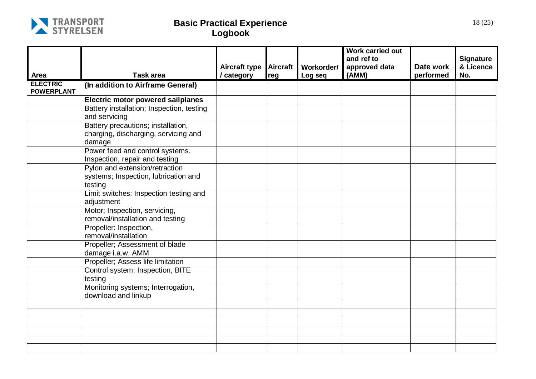

|                                      |                                                                                      | <b>Aircraft type</b> | <b>Aircraft</b> | Workorder/ | Work carried out<br>and ref to<br>approved data | Date work | <b>Signature</b><br>& Licence |
|--------------------------------------|--------------------------------------------------------------------------------------|----------------------|-----------------|------------|-------------------------------------------------|-----------|-------------------------------|
| Area                                 | <b>Task area</b>                                                                     | / category           | reg             | Log seq    | (AMM)                                           | performed | No.                           |
| <b>ELECTRIC</b><br><b>POWERPLANT</b> | (In addition to Airframe General)                                                    |                      |                 |            |                                                 |           |                               |
|                                      | <b>Electric motor powered sailplanes</b>                                             |                      |                 |            |                                                 |           |                               |
|                                      | Battery installation; Inspection, testing<br>and servicing                           |                      |                 |            |                                                 |           |                               |
|                                      | Battery precautions; installation,<br>charging, discharging, servicing and<br>damage |                      |                 |            |                                                 |           |                               |
|                                      | Power feed and control systems.<br>Inspection, repair and testing                    |                      |                 |            |                                                 |           |                               |
|                                      | Pylon and extension/retraction<br>systems; Inspection, lubrication and<br>testing    |                      |                 |            |                                                 |           |                               |
|                                      | Limit switches: Inspection testing and<br>adjustment                                 |                      |                 |            |                                                 |           |                               |
|                                      | Motor; Inspection, servicing,<br>removal/installation and testing                    |                      |                 |            |                                                 |           |                               |
|                                      | Propeller: Inspection,<br>removal/installation                                       |                      |                 |            |                                                 |           |                               |
|                                      | Propeller; Assessment of blade<br>damage i.a.w. AMM                                  |                      |                 |            |                                                 |           |                               |
|                                      | Propeller; Assess life limitation                                                    |                      |                 |            |                                                 |           |                               |
|                                      | Control system: Inspection, BITE<br>testing                                          |                      |                 |            |                                                 |           |                               |
|                                      | Monitoring systems; Interrogation,<br>download and linkup                            |                      |                 |            |                                                 |           |                               |
|                                      |                                                                                      |                      |                 |            |                                                 |           |                               |
|                                      |                                                                                      |                      |                 |            |                                                 |           |                               |
|                                      |                                                                                      |                      |                 |            |                                                 |           |                               |
|                                      |                                                                                      |                      |                 |            |                                                 |           |                               |
|                                      |                                                                                      |                      |                 |            |                                                 |           |                               |
|                                      |                                                                                      |                      |                 |            |                                                 |           |                               |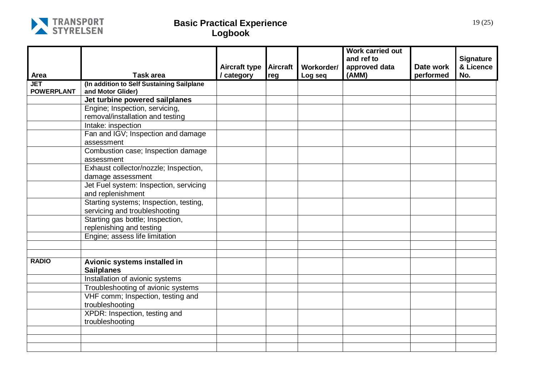

|                                 |                                                                         | <b>Aircraft type</b> | <b>Aircraft</b> | Workorder/ | <b>Work carried out</b><br>and ref to<br>approved data | Date work | <b>Signature</b><br>& Licence |
|---------------------------------|-------------------------------------------------------------------------|----------------------|-----------------|------------|--------------------------------------------------------|-----------|-------------------------------|
| Area                            | <b>Task area</b>                                                        | / category           | reg             | Log seq    | (AMM)                                                  | performed | No.                           |
| <b>JET</b><br><b>POWERPLANT</b> | (In addition to Self Sustaining Sailplane<br>and Motor Glider)          |                      |                 |            |                                                        |           |                               |
|                                 | Jet turbine powered sailplanes                                          |                      |                 |            |                                                        |           |                               |
|                                 | Engine; Inspection, servicing,                                          |                      |                 |            |                                                        |           |                               |
|                                 | removal/installation and testing                                        |                      |                 |            |                                                        |           |                               |
|                                 | Intake: inspection                                                      |                      |                 |            |                                                        |           |                               |
|                                 | Fan and IGV; Inspection and damage                                      |                      |                 |            |                                                        |           |                               |
|                                 | assessment                                                              |                      |                 |            |                                                        |           |                               |
|                                 | Combustion case; Inspection damage                                      |                      |                 |            |                                                        |           |                               |
|                                 | assessment                                                              |                      |                 |            |                                                        |           |                               |
|                                 | Exhaust collector/nozzle; Inspection,                                   |                      |                 |            |                                                        |           |                               |
|                                 | damage assessment                                                       |                      |                 |            |                                                        |           |                               |
|                                 | Jet Fuel system: Inspection, servicing                                  |                      |                 |            |                                                        |           |                               |
|                                 | and replenishment                                                       |                      |                 |            |                                                        |           |                               |
|                                 | Starting systems; Inspection, testing,<br>servicing and troubleshooting |                      |                 |            |                                                        |           |                               |
|                                 | Starting gas bottle; Inspection,<br>replenishing and testing            |                      |                 |            |                                                        |           |                               |
|                                 | Engine; assess life limitation                                          |                      |                 |            |                                                        |           |                               |
|                                 |                                                                         |                      |                 |            |                                                        |           |                               |
|                                 |                                                                         |                      |                 |            |                                                        |           |                               |
| <b>RADIO</b>                    | Avionic systems installed in<br><b>Sailplanes</b>                       |                      |                 |            |                                                        |           |                               |
|                                 | Installation of avionic systems                                         |                      |                 |            |                                                        |           |                               |
|                                 | Troubleshooting of avionic systems                                      |                      |                 |            |                                                        |           |                               |
|                                 | VHF comm; Inspection, testing and                                       |                      |                 |            |                                                        |           |                               |
|                                 | troubleshooting                                                         |                      |                 |            |                                                        |           |                               |
|                                 | XPDR: Inspection, testing and                                           |                      |                 |            |                                                        |           |                               |
|                                 | troubleshooting                                                         |                      |                 |            |                                                        |           |                               |
|                                 |                                                                         |                      |                 |            |                                                        |           |                               |
|                                 |                                                                         |                      |                 |            |                                                        |           |                               |
|                                 |                                                                         |                      |                 |            |                                                        |           |                               |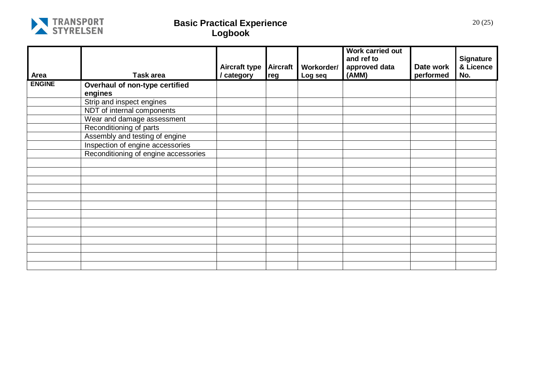

| Area          | Task area                            | <b>Aircraft type</b><br>/ category | <b>Aircraft</b><br>reg | Workorder/<br>Log seq | Work carried out<br>and ref to<br>approved data<br>(AMM) | Date work<br>performed | <b>Signature</b><br>& Licence<br>No. |
|---------------|--------------------------------------|------------------------------------|------------------------|-----------------------|----------------------------------------------------------|------------------------|--------------------------------------|
| <b>ENGINE</b> | Overhaul of non-type certified       |                                    |                        |                       |                                                          |                        |                                      |
|               | engines                              |                                    |                        |                       |                                                          |                        |                                      |
|               | Strip and inspect engines            |                                    |                        |                       |                                                          |                        |                                      |
|               | NDT of internal components           |                                    |                        |                       |                                                          |                        |                                      |
|               | Wear and damage assessment           |                                    |                        |                       |                                                          |                        |                                      |
|               | Reconditioning of parts              |                                    |                        |                       |                                                          |                        |                                      |
|               | Assembly and testing of engine       |                                    |                        |                       |                                                          |                        |                                      |
|               | Inspection of engine accessories     |                                    |                        |                       |                                                          |                        |                                      |
|               | Reconditioning of engine accessories |                                    |                        |                       |                                                          |                        |                                      |
|               |                                      |                                    |                        |                       |                                                          |                        |                                      |
|               |                                      |                                    |                        |                       |                                                          |                        |                                      |
|               |                                      |                                    |                        |                       |                                                          |                        |                                      |
|               |                                      |                                    |                        |                       |                                                          |                        |                                      |
|               |                                      |                                    |                        |                       |                                                          |                        |                                      |
|               |                                      |                                    |                        |                       |                                                          |                        |                                      |
|               |                                      |                                    |                        |                       |                                                          |                        |                                      |
|               |                                      |                                    |                        |                       |                                                          |                        |                                      |
|               |                                      |                                    |                        |                       |                                                          |                        |                                      |
|               |                                      |                                    |                        |                       |                                                          |                        |                                      |
|               |                                      |                                    |                        |                       |                                                          |                        |                                      |
|               |                                      |                                    |                        |                       |                                                          |                        |                                      |
|               |                                      |                                    |                        |                       |                                                          |                        |                                      |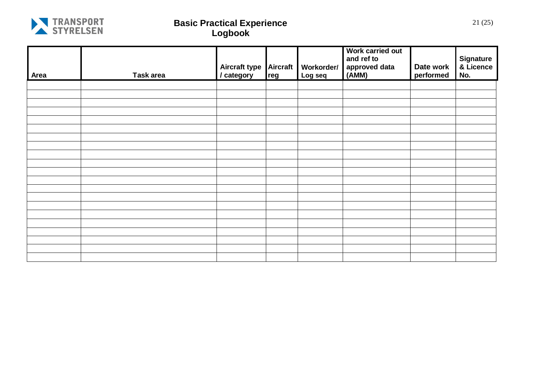

| Area | Task area | Aircraft type<br>/ category | <b>Aircraft</b><br>reg | Workorder/<br>Log seq | Work carried out<br>and ref to<br>approved data<br>(AMM) | Date work<br>performed | Signature<br>& Licence<br>No. |
|------|-----------|-----------------------------|------------------------|-----------------------|----------------------------------------------------------|------------------------|-------------------------------|
|      |           |                             |                        |                       |                                                          |                        |                               |
|      |           |                             |                        |                       |                                                          |                        |                               |
|      |           |                             |                        |                       |                                                          |                        |                               |
|      |           |                             |                        |                       |                                                          |                        |                               |
|      |           |                             |                        |                       |                                                          |                        |                               |
|      |           |                             |                        |                       |                                                          |                        |                               |
|      |           |                             |                        |                       |                                                          |                        |                               |
|      |           |                             |                        |                       |                                                          |                        |                               |
|      |           |                             |                        |                       |                                                          |                        |                               |
|      |           |                             |                        |                       |                                                          |                        |                               |
|      |           |                             |                        |                       |                                                          |                        |                               |
|      |           |                             |                        |                       |                                                          |                        |                               |
|      |           |                             |                        |                       |                                                          |                        |                               |
|      |           |                             |                        |                       |                                                          |                        |                               |
|      |           |                             |                        |                       |                                                          |                        |                               |
|      |           |                             |                        |                       |                                                          |                        |                               |
|      |           |                             |                        |                       |                                                          |                        |                               |
|      |           |                             |                        |                       |                                                          |                        |                               |
|      |           |                             |                        |                       |                                                          |                        |                               |
|      |           |                             |                        |                       |                                                          |                        |                               |
|      |           |                             |                        |                       |                                                          |                        |                               |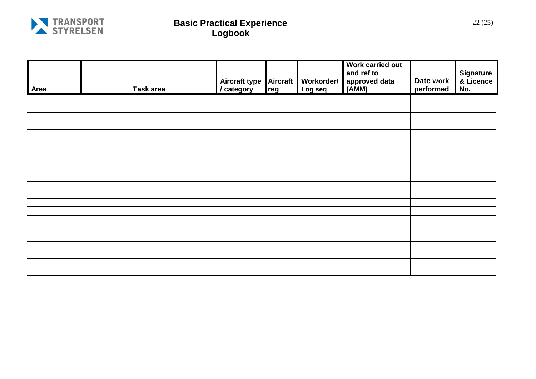

| Area | Task area | Aircraft type<br>/ category | <b>Aircraft</b><br>reg | Workorder/<br>Log seq | Work carried out<br>and ref to<br>approved data<br>(AMM) | Date work<br>performed | <b>Signature</b><br>& Licence<br>No. |
|------|-----------|-----------------------------|------------------------|-----------------------|----------------------------------------------------------|------------------------|--------------------------------------|
|      |           |                             |                        |                       |                                                          |                        |                                      |
|      |           |                             |                        |                       |                                                          |                        |                                      |
|      |           |                             |                        |                       |                                                          |                        |                                      |
|      |           |                             |                        |                       |                                                          |                        |                                      |
|      |           |                             |                        |                       |                                                          |                        |                                      |
|      |           |                             |                        |                       |                                                          |                        |                                      |
|      |           |                             |                        |                       |                                                          |                        |                                      |
|      |           |                             |                        |                       |                                                          |                        |                                      |
|      |           |                             |                        |                       |                                                          |                        |                                      |
|      |           |                             |                        |                       |                                                          |                        |                                      |
|      |           |                             |                        |                       |                                                          |                        |                                      |
|      |           |                             |                        |                       |                                                          |                        |                                      |
|      |           |                             |                        |                       |                                                          |                        |                                      |
|      |           |                             |                        |                       |                                                          |                        |                                      |
|      |           |                             |                        |                       |                                                          |                        |                                      |
|      |           |                             |                        |                       |                                                          |                        |                                      |
|      |           |                             |                        |                       |                                                          |                        |                                      |
|      |           |                             |                        |                       |                                                          |                        |                                      |
|      |           |                             |                        |                       |                                                          |                        |                                      |
|      |           |                             |                        |                       |                                                          |                        |                                      |
|      |           |                             |                        |                       |                                                          |                        |                                      |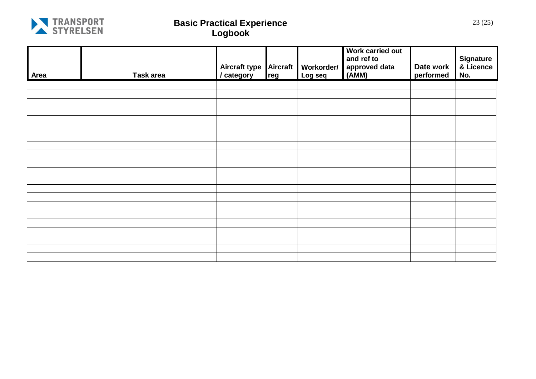

| Area | Task area | Aircraft type<br>/ category | <b>Aircraft</b><br>reg | Workorder/<br>Log seq | Work carried out<br>and ref to<br>approved data<br>$(\overline{AMM})$ | Date work<br>performed | Signature<br>& Licence<br>No. |
|------|-----------|-----------------------------|------------------------|-----------------------|-----------------------------------------------------------------------|------------------------|-------------------------------|
|      |           |                             |                        |                       |                                                                       |                        |                               |
|      |           |                             |                        |                       |                                                                       |                        |                               |
|      |           |                             |                        |                       |                                                                       |                        |                               |
|      |           |                             |                        |                       |                                                                       |                        |                               |
|      |           |                             |                        |                       |                                                                       |                        |                               |
|      |           |                             |                        |                       |                                                                       |                        |                               |
|      |           |                             |                        |                       |                                                                       |                        |                               |
|      |           |                             |                        |                       |                                                                       |                        |                               |
|      |           |                             |                        |                       |                                                                       |                        |                               |
|      |           |                             |                        |                       |                                                                       |                        |                               |
|      |           |                             |                        |                       |                                                                       |                        |                               |
|      |           |                             |                        |                       |                                                                       |                        |                               |
|      |           |                             |                        |                       |                                                                       |                        |                               |
|      |           |                             |                        |                       |                                                                       |                        |                               |
|      |           |                             |                        |                       |                                                                       |                        |                               |
|      |           |                             |                        |                       |                                                                       |                        |                               |
|      |           |                             |                        |                       |                                                                       |                        |                               |
|      |           |                             |                        |                       |                                                                       |                        |                               |
|      |           |                             |                        |                       |                                                                       |                        |                               |
|      |           |                             |                        |                       |                                                                       |                        |                               |
|      |           |                             |                        |                       |                                                                       |                        |                               |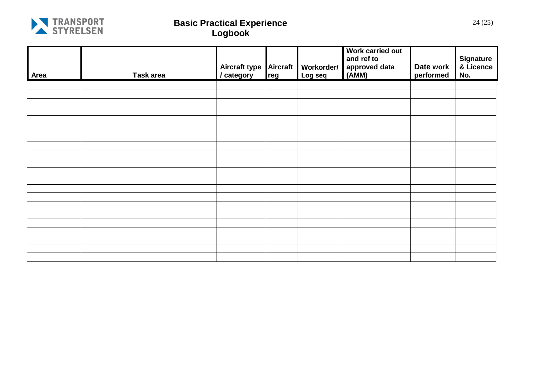

| Area | Task area | Aircraft type<br>/ category | <b>Aircraft</b><br>reg | Workorder/<br>Log seq | Work carried out<br>and ref to<br>$^{\prime}$ approved data<br>(AMM) | Date work<br>performed | Signature<br>& Licence<br>No. |
|------|-----------|-----------------------------|------------------------|-----------------------|----------------------------------------------------------------------|------------------------|-------------------------------|
|      |           |                             |                        |                       |                                                                      |                        |                               |
|      |           |                             |                        |                       |                                                                      |                        |                               |
|      |           |                             |                        |                       |                                                                      |                        |                               |
|      |           |                             |                        |                       |                                                                      |                        |                               |
|      |           |                             |                        |                       |                                                                      |                        |                               |
|      |           |                             |                        |                       |                                                                      |                        |                               |
|      |           |                             |                        |                       |                                                                      |                        |                               |
|      |           |                             |                        |                       |                                                                      |                        |                               |
|      |           |                             |                        |                       |                                                                      |                        |                               |
|      |           |                             |                        |                       |                                                                      |                        |                               |
|      |           |                             |                        |                       |                                                                      |                        |                               |
|      |           |                             |                        |                       |                                                                      |                        |                               |
|      |           |                             |                        |                       |                                                                      |                        |                               |
|      |           |                             |                        |                       |                                                                      |                        |                               |
|      |           |                             |                        |                       |                                                                      |                        |                               |
|      |           |                             |                        |                       |                                                                      |                        |                               |
|      |           |                             |                        |                       |                                                                      |                        |                               |
|      |           |                             |                        |                       |                                                                      |                        |                               |
|      |           |                             |                        |                       |                                                                      |                        |                               |
|      |           |                             |                        |                       |                                                                      |                        |                               |
|      |           |                             |                        |                       |                                                                      |                        |                               |